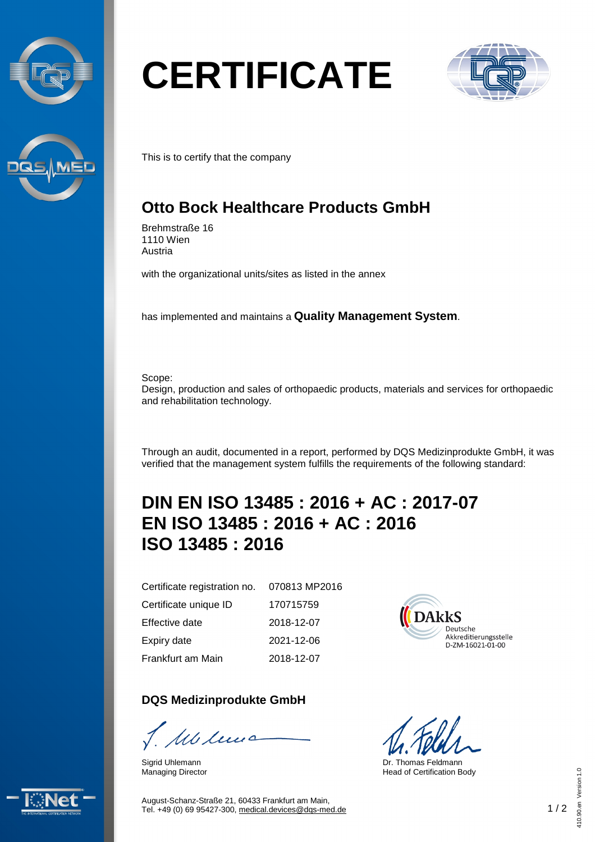



# **CERTIFICATE**



This is to certify that the company

## **Otto Bock Healthcare Products GmbH**

Brehmstraße 16 1110 Wien Austria

with the organizational units/sites as listed in the annex

has implemented and maintains a **Quality Management System**.

Scope:

Design, production and sales of orthopaedic products, materials and services for orthopaedic and rehabilitation technology.

Through an audit, documented in a report, performed by DQS Medizinprodukte GmbH, it was verified that the management system fulfills the requirements of the following standard:

## **DIN EN ISO 13485 : 2016 + AC : 2017-07 EN ISO 13485 : 2016 + AC : 2016 ISO 13485 : 2016**

Certificate registration no. Certificate unique ID

Effective date

Expiry date

Frankfurt am Main

### **DQS Medizinprodukte GmbH**

Mclews

Sigrid Uhlemann Managing Director

070813 MP2016 170715759 2018-12-07 2021-12-06 2018-12-07



Dr. Thomas Feldmann Head of Certification Body



August-Schanz-Straße 21, 60433 Frankfurt am Main, Tel. +49 (0) 69 95427-300, [medical.devices@dqs-med.de](mailto:medical.devices@dqs-med.de) 1 / 2